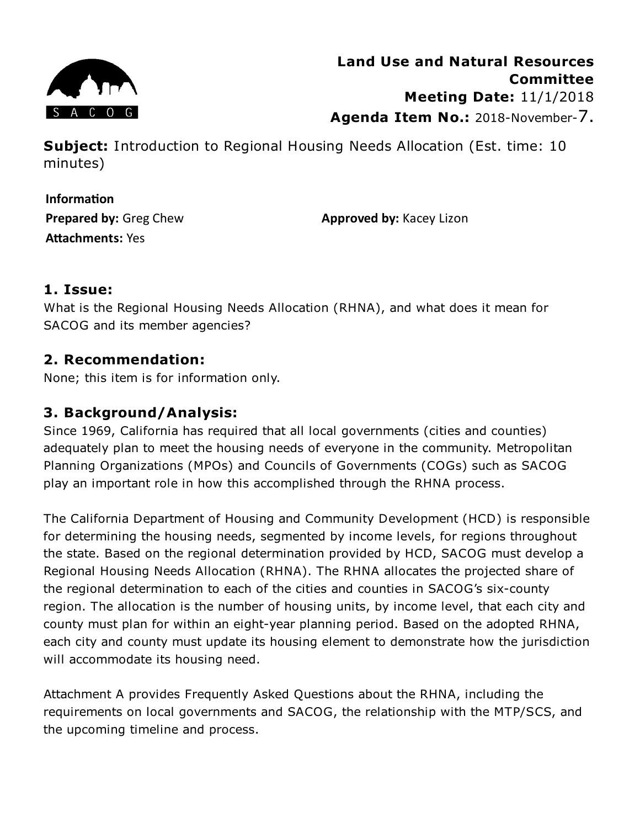

**Subject:** Introduction to Regional Housing Needs Allocation (Est. time: 10 minutes)

**Information Prepared by:** Greg Chew **Attachments: Yes** 

**Approved by:** Kacey Lizon

## **1. Issue:**

What is the Regional Housing Needs Allocation (RHNA), and what does it mean for SACOG and its member agencies?

## **2. Recommendation:**

None; this item is for information only.

# **3. Background/Analysis:**

Since 1969, California has required that all local governments (cities and counties) adequately plan to meet the housing needs of everyone in the community. Metropolitan Planning Organizations (MPOs) and Councils of Governments (COGs) such as SACOG play an important role in how this accomplished through the RHNA process.

The California Department of Housing and Community Development (HCD) is responsible for determining the housing needs, segmented by income levels, for regions throughout the state. Based on the regional determination provided by HCD, SACOG must develop a Regional Housing Needs Allocation (RHNA). The RHNA allocates the projected share of the regional determination to each of the cities and counties in SACOG's six-county region. The allocation is the number of housing units, by income level, that each city and county must plan for within an eight-year planning period. Based on the adopted RHNA, each city and county must update its housing element to demonstrate how the jurisdiction will accommodate its housing need.

Attachment A provides Frequently Asked Questions about the RHNA, including the requirements on local governments and SACOG, the relationship with the MTP/SCS, and the upcoming timeline and process.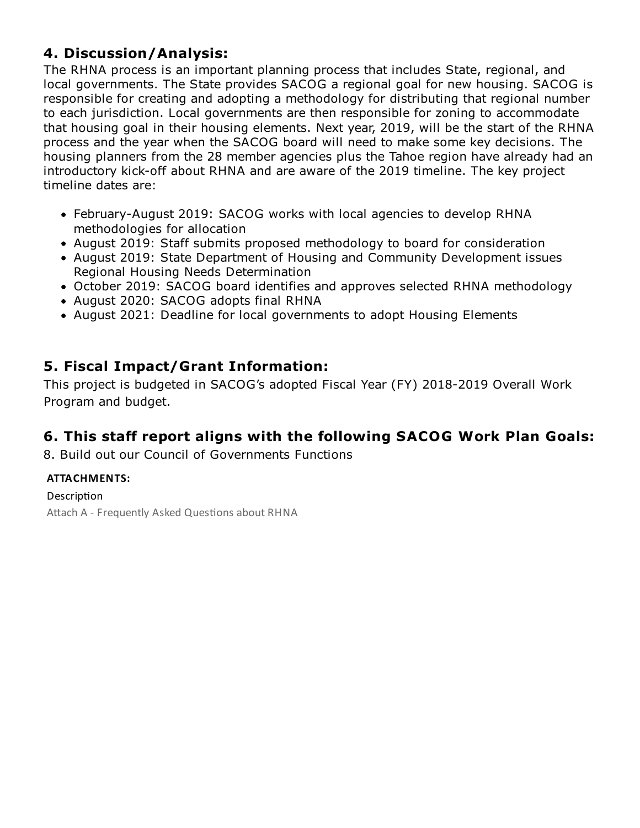# **4. Discussion/Analysis:**

The RHNA process is an important planning process that includes State, regional, and local governments. The State provides SACOG a regional goal for new housing. SACOG is responsible for creating and adopting a methodology for distributing that regional number to each jurisdiction. Local governments are then responsible for zoning to accommodate that housing goal in their housing elements. Next year, 2019, will be the start of the RHNA process and the year when the SACOG board will need to make some key decisions. The housing planners from the 28 member agencies plus the Tahoe region have already had an introductory kick-off about RHNA and are aware of the 2019 timeline. The key project timeline dates are:

- February-August 2019: SACOG works with local agencies to develop RHNA methodologies for allocation
- August 2019: Staff submits proposed methodology to board for consideration
- August 2019: State Department of Housing and Community Development issues Regional Housing Needs Determination
- October 2019: SACOG board identifies and approves selected RHNA methodology
- August 2020: SACOG adopts final RHNA
- August 2021: Deadline for local governments to adopt Housing Elements

# **5. Fiscal Impact/Grant Information:**

This project is budgeted in SACOG's adopted Fiscal Year (FY) 2018-2019 Overall Work Program and budget.

## **6. This staff report aligns with the following SACOG Work Plan Goals:**

8. Build out our Council of Governments Functions

## **ATTACHMENTS:**

Description Attach A - Frequently Asked Questions about RHNA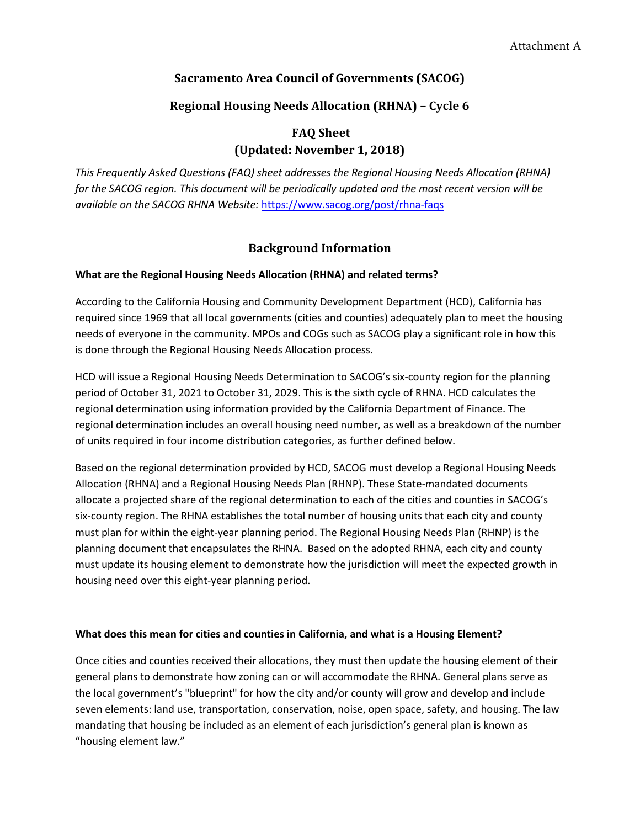### **Sacramento Area Council of Governments (SACOG)**

### **Regional Housing Needs Allocation (RHNA) – Cycle 6**

## **FAQ Sheet (Updated: November 1, 2018)**

*This Frequently Asked Questions (FAQ) sheet addresses the Regional Housing Needs Allocation (RHNA) for the SACOG region. This document will be periodically updated and the most recent version will be available on the SACOG RHNA Website:* https://www.sacog.org/post/rhna-faqs

### **Background Information**

#### **What are the Regional Housing Needs Allocation (RHNA) and related terms?**

According to the California Housing and Community Development Department (HCD), California has required since 1969 that all local governments (cities and counties) adequately plan to meet the housing needs of everyone in the community. MPOs and COGs such as SACOG play a significant role in how this is done through the Regional Housing Needs Allocation process.

HCD will issue a Regional Housing Needs Determination to SACOG's six-county region for the planning period of October 31, 2021 to October 31, 2029. This is the sixth cycle of RHNA. HCD calculates the regional determination using information provided by the California Department of Finance. The regional determination includes an overall housing need number, as well as a breakdown of the number of units required in four income distribution categories, as further defined below.

Based on the regional determination provided by HCD, SACOG must develop a Regional Housing Needs Allocation (RHNA) and a Regional Housing Needs Plan (RHNP). These State-mandated documents allocate a projected share of the regional determination to each of the cities and counties in SACOG's six-county region. The RHNA establishes the total number of housing units that each city and county must plan for within the eight-year planning period. The Regional Housing Needs Plan (RHNP) is the planning document that encapsulates the RHNA. Based on the adopted RHNA, each city and county must update its housing element to demonstrate how the jurisdiction will meet the expected growth in housing need over this eight-year planning period.

#### **What does this mean for cities and counties in California, and what is a Housing Element?**

Once cities and counties received their allocations, they must then update the housing element of their general plans to demonstrate how zoning can or will accommodate the RHNA. General plans serve as the local government's "blueprint" for how the city and/or county will grow and develop and include seven elements: land use, transportation, conservation, noise, open space, safety, and housing. The law mandating that housing be included as an element of each jurisdiction's general plan is known as "housing element law."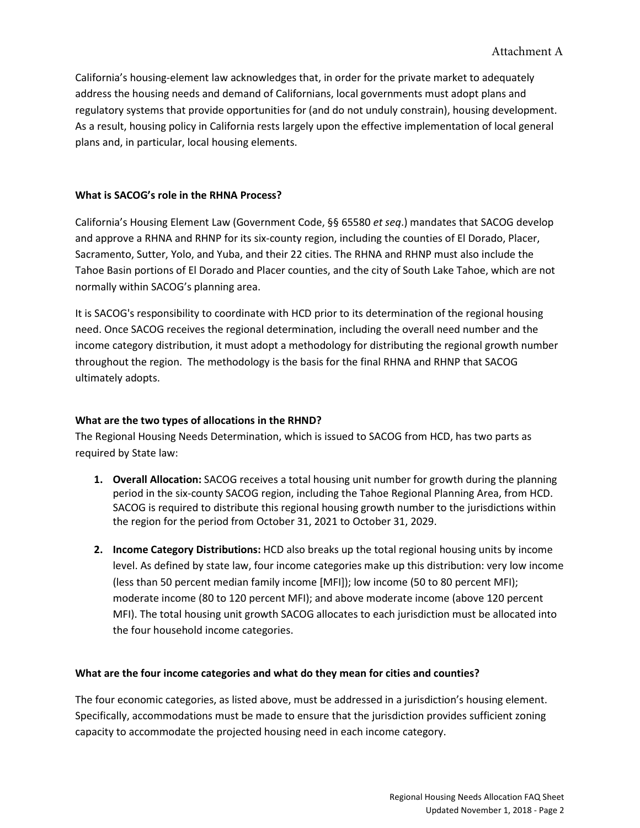California's housing-element law acknowledges that, in order for the private market to adequately address the housing needs and demand of Californians, local governments must adopt plans and regulatory systems that provide opportunities for (and do not unduly constrain), housing development. As a result, housing policy in California rests largely upon the effective implementation of local general plans and, in particular, local housing elements.

#### **What is SACOG's role in the RHNA Process?**

California's Housing Element Law (Government Code, §§ 65580 *et seq*.) mandates that SACOG develop and approve a RHNA and RHNP for its six-county region, including the counties of El Dorado, Placer, Sacramento, Sutter, Yolo, and Yuba, and their 22 cities. The RHNA and RHNP must also include the Tahoe Basin portions of El Dorado and Placer counties, and the city of South Lake Tahoe, which are not normally within SACOG's planning area.

It is SACOG's responsibility to coordinate with HCD prior to its determination of the regional housing need. Once SACOG receives the regional determination, including the overall need number and the income category distribution, it must adopt a methodology for distributing the regional growth number throughout the region. The methodology is the basis for the final RHNA and RHNP that SACOG ultimately adopts.

#### **What are the two types of allocations in the RHND?**

The Regional Housing Needs Determination, which is issued to SACOG from HCD, has two parts as required by State law:

- **1. Overall Allocation:** SACOG receives a total housing unit number for growth during the planning period in the six-county SACOG region, including the Tahoe Regional Planning Area, from HCD. SACOG is required to distribute this regional housing growth number to the jurisdictions within the region for the period from October 31, 2021 to October 31, 2029.
- **2. Income Category Distributions:** HCD also breaks up the total regional housing units by income level. As defined by state law, four income categories make up this distribution: very low income (less than 50 percent median family income [MFI]); low income (50 to 80 percent MFI); moderate income (80 to 120 percent MFI); and above moderate income (above 120 percent MFI). The total housing unit growth SACOG allocates to each jurisdiction must be allocated into the four household income categories.

#### **What are the four income categories and what do they mean for cities and counties?**

The four economic categories, as listed above, must be addressed in a jurisdiction's housing element. Specifically, accommodations must be made to ensure that the jurisdiction provides sufficient zoning capacity to accommodate the projected housing need in each income category.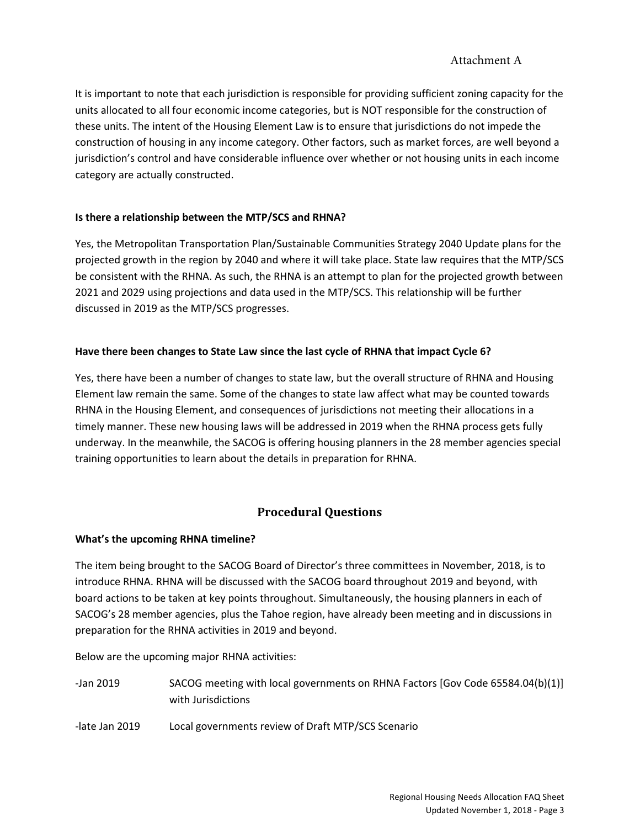### Attachment A

It is important to note that each jurisdiction is responsible for providing sufficient zoning capacity for the units allocated to all four economic income categories, but is NOT responsible for the construction of these units. The intent of the Housing Element Law is to ensure that jurisdictions do not impede the construction of housing in any income category. Other factors, such as market forces, are well beyond a jurisdiction's control and have considerable influence over whether or not housing units in each income category are actually constructed.

### **Is there a relationship between the MTP/SCS and RHNA?**

Yes, the Metropolitan Transportation Plan/Sustainable Communities Strategy 2040 Update plans for the projected growth in the region by 2040 and where it will take place. State law requires that the MTP/SCS be consistent with the RHNA. As such, the RHNA is an attempt to plan for the projected growth between 2021 and 2029 using projections and data used in the MTP/SCS. This relationship will be further discussed in 2019 as the MTP/SCS progresses.

### **Have there been changes to State Law since the last cycle of RHNA that impact Cycle 6?**

Yes, there have been a number of changes to state law, but the overall structure of RHNA and Housing Element law remain the same. Some of the changes to state law affect what may be counted towards RHNA in the Housing Element, and consequences of jurisdictions not meeting their allocations in a timely manner. These new housing laws will be addressed in 2019 when the RHNA process gets fully underway. In the meanwhile, the SACOG is offering housing planners in the 28 member agencies special training opportunities to learn about the details in preparation for RHNA.

### **Procedural Questions**

#### **What's the upcoming RHNA timeline?**

The item being brought to the SACOG Board of Director's three committees in November, 2018, is to introduce RHNA. RHNA will be discussed with the SACOG board throughout 2019 and beyond, with board actions to be taken at key points throughout. Simultaneously, the housing planners in each of SACOG's 28 member agencies, plus the Tahoe region, have already been meeting and in discussions in preparation for the RHNA activities in 2019 and beyond.

Below are the upcoming major RHNA activities:

- -Jan 2019 SACOG meeting with local governments on RHNA Factors [Gov Code 65584.04(b)(1)] with Jurisdictions
- -late Jan 2019 Local governments review of Draft MTP/SCS Scenario